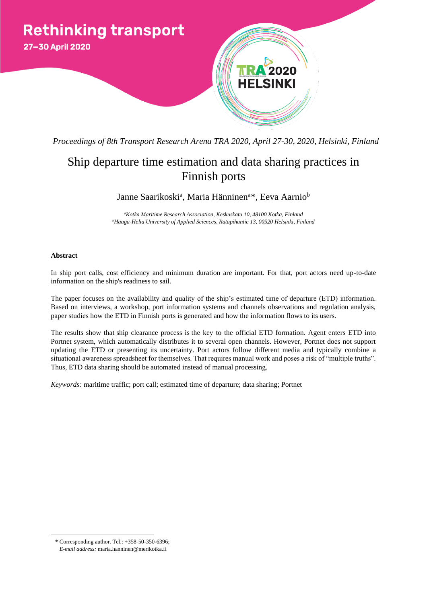

*Proceedings of 8th Transport Research Arena TRA 2020, April 27-30, 2020, Helsinki, Finland*

# Ship departure time estimation and data sharing practices in Finnish ports

Janne Saarikoski<sup>a</sup>, Maria Hänninen<sup>a</sup>\*, Eeva Aarnio<sup>b</sup>

*<sup>a</sup>Kotka Maritime Research Association, Keskuskatu 10, 48100 Kotka, Finland <sup>b</sup>Haaga-Helia University of Applied Sciences, Ratapihantie 13, 00520 Helsinki, Finland*

# **Abstract**

In ship port calls, cost efficiency and minimum duration are important. For that, port actors need up-to-date information on the ship's readiness to sail.

The paper focuses on the availability and quality of the ship's estimated time of departure (ETD) information. Based on interviews, a workshop, port information systems and channels observations and regulation analysis, paper studies how the ETD in Finnish ports is generated and how the information flows to its users.

The results show that ship clearance process is the key to the official ETD formation. Agent enters ETD into Portnet system, which automatically distributes it to several open channels. However, Portnet does not support updating the ETD or presenting its uncertainty. Port actors follow different media and typically combine a situational awareness spreadsheet for themselves. That requires manual work and poses a risk of "multiple truths". Thus, ETD data sharing should be automated instead of manual processing.

*Keywords:* maritime traffic; port call; estimated time of departure; data sharing; Portnet

<sup>\*</sup> Corresponding author. Tel.: +358-50-350-6396; *E-mail address:* maria.hanninen@merikotka.fi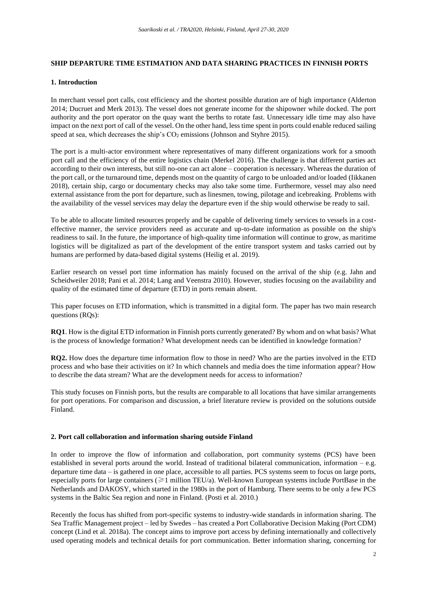# **SHIP DEPARTURE TIME ESTIMATION AND DATA SHARING PRACTICES IN FINNISH PORTS**

## **1. Introduction**

In merchant vessel port calls, cost efficiency and the shortest possible duration are of high importance (Alderton 2014; Ducruet and Merk 2013). The vessel does not generate income for the shipowner while docked. The port authority and the port operator on the quay want the berths to rotate fast. Unnecessary idle time may also have impact on the next port of call of the vessel. On the other hand, less time spent in ports could enable reduced sailing speed at sea, which decreases the ship's  $CO<sub>2</sub>$  emissions (Johnson and Styhre 2015).

The port is a multi-actor environment where representatives of many different organizations work for a smooth port call and the efficiency of the entire logistics chain (Merkel 2016). The challenge is that different parties act according to their own interests, but still no-one can act alone – cooperation is necessary. Whereas the duration of the port call, or the turnaround time, depends most on the quantity of cargo to be unloaded and/or loaded (Iikkanen 2018), certain ship, cargo or documentary checks may also take some time. Furthermore, vessel may also need external assistance from the port for departure, such as linesmen, towing, pilotage and icebreaking. Problems with the availability of the vessel services may delay the departure even if the ship would otherwise be ready to sail.

To be able to allocate limited resources properly and be capable of delivering timely services to vessels in a costeffective manner, the service providers need as accurate and up-to-date information as possible on the ship's readiness to sail. In the future, the importance of high-quality time information will continue to grow, as maritime logistics will be digitalized as part of the development of the entire transport system and tasks carried out by humans are performed by data-based digital systems (Heilig et al. 2019).

Earlier research on vessel port time information has mainly focused on the arrival of the ship (e.g. Jahn and Scheidweiler 2018; Pani et al. 2014; Lang and Veenstra 2010). However, studies focusing on the availability and quality of the estimated time of departure (ETD) in ports remain absent.

This paper focuses on ETD information, which is transmitted in a digital form. The paper has two main research questions (RQs):

**RQ1**. How is the digital ETD information in Finnish ports currently generated? By whom and on what basis? What is the process of knowledge formation? What development needs can be identified in knowledge formation?

**RQ2.** How does the departure time information flow to those in need? Who are the parties involved in the ETD process and who base their activities on it? In which channels and media does the time information appear? How to describe the data stream? What are the development needs for access to information?

This study focuses on Finnish ports, but the results are comparable to all locations that have similar arrangements for port operations. For comparison and discussion, a brief literature review is provided on the solutions outside Finland.

# **2. Port call collaboration and information sharing outside Finland**

In order to improve the flow of information and collaboration, port community systems (PCS) have been established in several ports around the world. Instead of traditional bilateral communication, information – e.g. departure time data – is gathered in one place, accessible to all parties. PCS systems seem to focus on large ports, especially ports for large containers ( $\geq 1$  million TEU/a). Well-known European systems include PortBase in the Netherlands and DAKOSY, which started in the 1980s in the port of Hamburg. There seems to be only a few PCS systems in the Baltic Sea region and none in Finland. (Posti et al. 2010.)

Recently the focus has shifted from port-specific systems to industry-wide standards in information sharing. The Sea Traffic Management project – led by Swedes – has created a Port Collaborative Decision Making (Port CDM) concept (Lind et al. 2018a). The concept aims to improve port access by defining internationally and collectively used operating models and technical details for port communication. Better information sharing, concerning for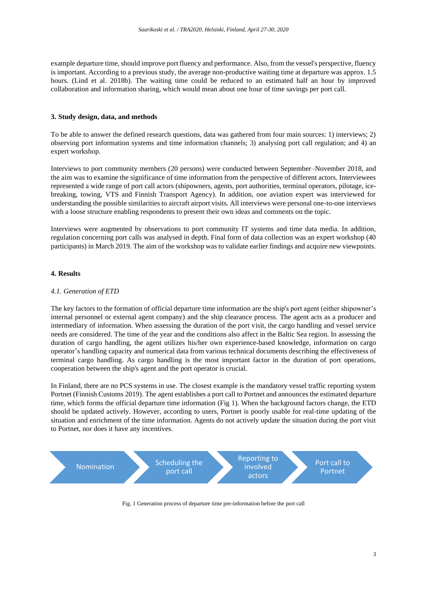example departure time, should improve port fluency and performance. Also, from the vessel's perspective, fluency is important. According to a previous study, the average non-productive waiting time at departure was approx. 1.5 hours. (Lind et al. 2018b). The waiting time could be reduced to an estimated half an hour by improved collaboration and information sharing, which would mean about one hour of time savings per port call.

### **3. Study design, data, and methods**

To be able to answer the defined research questions, data was gathered from four main sources: 1) interviews; 2) observing port information systems and time information channels; 3) analysing port call regulation; and 4) an expert workshop.

Interviews to port community members (20 persons) were conducted between September–November 2018, and the aim was to examine the significance of time information from the perspective of different actors. Interviewees represented a wide range of port call actors (shipowners, agents, port authorities, terminal operators, pilotage, icebreaking, towing, VTS and Finnish Transport Agency). In addition, one aviation expert was interviewed for understanding the possible similarities to aircraft airport visits. All interviews were personal one-to-one interviews with a loose structure enabling respondents to present their own ideas and comments on the topic.

Interviews were augmented by observations to port community IT systems and time data media. In addition, regulation concerning port calls was analysed in depth. Final form of data collection was an expert workshop (40 participants) in March 2019. The aim of the workshop was to validate earlier findings and acquire new viewpoints.

## **4. Results**

#### *4.1. Generation of ETD*

The key factors to the formation of official departure time information are the ship's port agent (either shipowner's internal personnel or external agent company) and the ship clearance process. The agent acts as a producer and intermediary of information. When assessing the duration of the port visit, the cargo handling and vessel service needs are considered. The time of the year and the conditions also affect in the Baltic Sea region. In assessing the duration of cargo handling, the agent utilizes his/her own experience-based knowledge, information on cargo operator's handling capacity and numerical data from various technical documents describing the effectiveness of terminal cargo handling. As cargo handling is the most important factor in the duration of port operations, cooperation between the ship's agent and the port operator is crucial.

In Finland, there are no PCS systems in use. The closest example is the mandatory vessel traffic reporting system Portnet (Finnish Customs 2019). The agent establishes a port call to Portnet and announces the estimated departure time, which forms the official departure time information (Fig 1). When the background factors change, the ETD should be updated actively. However, according to users, Portnet is poorly usable for real-time updating of the situation and enrichment of the time information. Agents do not actively update the situation during the port visit to Portnet, nor does it have any incentives.



Fig. 1 Generation process of departure time pre-information before the port call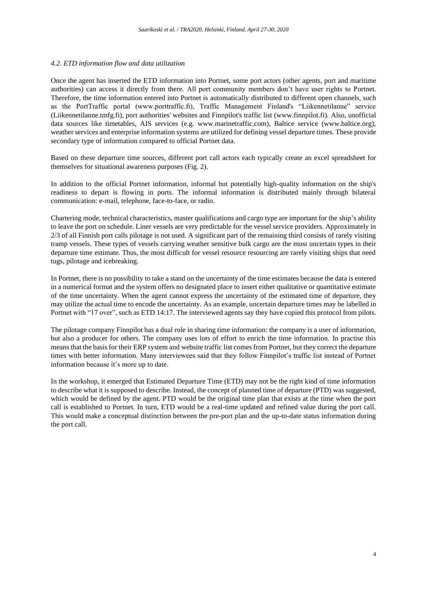# *4.2. ETD information flow and data utilization*

Once the agent has inserted the ETD information into Portnet, some port actors (other agents, port and maritime authorities) can access it directly from there. All port community members don't have user rights to Portnet. Therefore, the time information entered into Portnet is automatically distributed to different open channels, such as the PortTraffic portal (www.porttraffic.fi), Traffic Management Finland's "Liikennetilanne" service (Liikennetilanne.tmfg.fi), port authorities' websites and Finnpilot's traffic list (www.finnpilot.fi). Also, unofficial data sources like timetables, AIS services (e.g. www.marinetraffic.com), Baltice service (www.baltice.org), weather services and enterprise information systems are utilized for defining vessel departure times. These provide secondary type of information compared to official Portnet data.

Based on these departure time sources, different port call actors each typically create an excel spreadsheet for themselves for situational awareness purposes (Fig. 2).

In addition to the official Portnet information, informal but potentially high-quality information on the ship's readiness to depart is flowing in ports. The informal information is distributed mainly through bilateral communication: e-mail, telephone, face-to-face, or radio.

Chartering mode, technical characteristics, master qualifications and cargo type are important for the ship's ability to leave the port on schedule. Liner vessels are very predictable for the vessel service providers. Approximately in 2/3 of all Finnish port calls pilotage is not used. A significant part of the remaining third consists of rarely visiting tramp vessels. These types of vessels carrying weather sensitive bulk cargo are the most uncertain types in their departure time estimate. Thus, the most difficult for vessel resource resourcing are rarely visiting ships that need tugs, pilotage and icebreaking.

In Portnet, there is no possibility to take a stand on the uncertainty of the time estimates because the data is entered in a numerical format and the system offers no designated place to insert either qualitative or quantitative estimate of the time uncertainty. When the agent cannot express the uncertainty of the estimated time of departure, they may utilize the actual time to encode the uncertainty. As an example, uncertain departure times may be labelled in Portnet with "17 over", such as ETD 14:17. The interviewed agents say they have copied this protocol from pilots.

The pilotage company Finnpilot has a dual role in sharing time information: the company is a user of information, but also a producer for others. The company uses lots of effort to enrich the time information. In practise this means that the basis for their ERP system and website traffic list comes from Portnet, but they correct the departure times with better information. Many interviewees said that they follow Finnpilot's traffic list instead of Portnet information because it's more up to date.

In the workshop, it emerged that Estimated Departure Time (ETD) may not be the right kind of time information to describe what it is supposed to describe. Instead, the concept of planned time of departure (PTD) was suggested, which would be defined by the agent. PTD would be the original time plan that exists at the time when the port call is established to Portnet. In turn, ETD would be a real-time updated and refined value during the port call. This would make a conceptual distinction between the pre-port plan and the up-to-date status information during the port call.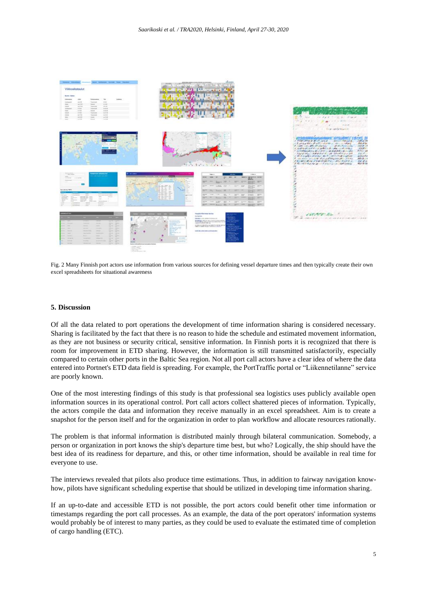

Fig. 2 Many Finnish port actors use information from various sources for defining vessel departure times and then typically create their own excel spreadsheets for situational awareness

#### **5. Discussion**

Of all the data related to port operations the development of time information sharing is considered necessary. Sharing is facilitated by the fact that there is no reason to hide the schedule and estimated movement information, as they are not business or security critical, sensitive information. In Finnish ports it is recognized that there is room for improvement in ETD sharing. However, the information is still transmitted satisfactorily, especially compared to certain other ports in the Baltic Sea region. Not all port call actors have a clear idea of where the data entered into Portnet's ETD data field is spreading. For example, the PortTraffic portal or "Liikennetilanne" service are poorly known.

One of the most interesting findings of this study is that professional sea logistics uses publicly available open information sources in its operational control. Port call actors collect shattered pieces of information. Typically, the actors compile the data and information they receive manually in an excel spreadsheet. Aim is to create a snapshot for the person itself and for the organization in order to plan workflow and allocate resources rationally.

The problem is that informal information is distributed mainly through bilateral communication. Somebody, a person or organization in port knows the ship's departure time best, but who? Logically, the ship should have the best idea of its readiness for departure, and this, or other time information, should be available in real time for everyone to use.

The interviews revealed that pilots also produce time estimations. Thus, in addition to fairway navigation knowhow, pilots have significant scheduling expertise that should be utilized in developing time information sharing.

If an up-to-date and accessible ETD is not possible, the port actors could benefit other time information or timestamps regarding the port call processes. As an example, the data of the port operators' information systems would probably be of interest to many parties, as they could be used to evaluate the estimated time of completion of cargo handling (ETC).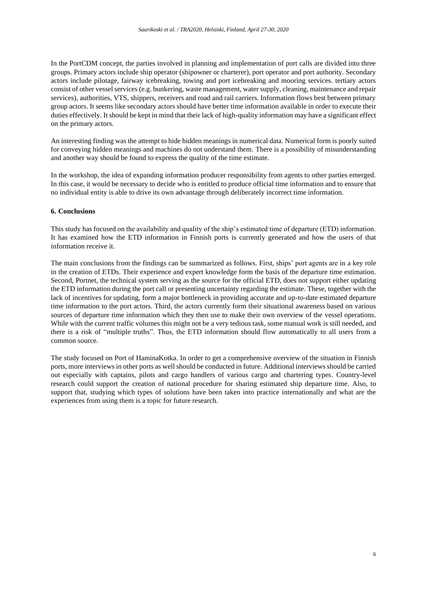In the PortCDM concept, the parties involved in planning and implementation of port calls are divided into three groups. Primary actors include ship operator (shipowner or charterer), port operator and port authority. Secondary actors include pilotage, fairway icebreaking, towing and port icebreaking and mooring services. tertiary actors consist of other vessel services (e.g. bunkering, waste management, water supply, cleaning, maintenance and repair services), authorities, VTS, shippers, receivers and road and rail carriers. Information flows best between primary group actors. It seems like secondary actors should have better time information available in order to execute their duties effectively. It should be kept in mind that their lack of high-quality information may have a significant effect on the primary actors.

An interesting finding was the attempt to hide hidden meanings in numerical data. Numerical form is poorly suited for conveying hidden meanings and machines do not understand them. There is a possibility of misunderstanding and another way should be found to express the quality of the time estimate.

In the workshop, the idea of expanding information producer responsibility from agents to other parties emerged. In this case, it would be necessary to decide who is entitled to produce official time information and to ensure that no individual entity is able to drive its own advantage through deliberately incorrect time information.

#### **6. Conclusions**

This study has focused on the availability and quality of the ship's estimated time of departure (ETD) information. It has examined how the ETD information in Finnish ports is currently generated and how the users of that information receive it.

The main conclusions from the findings can be summarized as follows. First, ships' port agents are in a key role in the creation of ETDs. Their experience and expert knowledge form the basis of the departure time estimation. Second, Portnet, the technical system serving as the source for the official ETD, does not support either updating the ETD information during the port call or presenting uncertainty regarding the estimate. These, together with the lack of incentives for updating, form a major bottleneck in providing accurate and up-to-date estimated departure time information to the port actors. Third, the actors currently form their situational awareness based on various sources of departure time information which they then use to make their own overview of the vessel operations. While with the current traffic volumes this might not be a very tedious task, some manual work is still needed, and there is a risk of "multiple truths". Thus, the ETD information should flow automatically to all users from a common source.

The study focused on Port of HaminaKotka. In order to get a comprehensive overview of the situation in Finnish ports, more interviews in other ports as well should be conducted in future. Additional interviews should be carried out especially with captains, pilots and cargo handlers of various cargo and chartering types. Country-level research could support the creation of national procedure for sharing estimated ship departure time. Also, to support that, studying which types of solutions have been taken into practice internationally and what are the experiences from using them is a topic for future research.